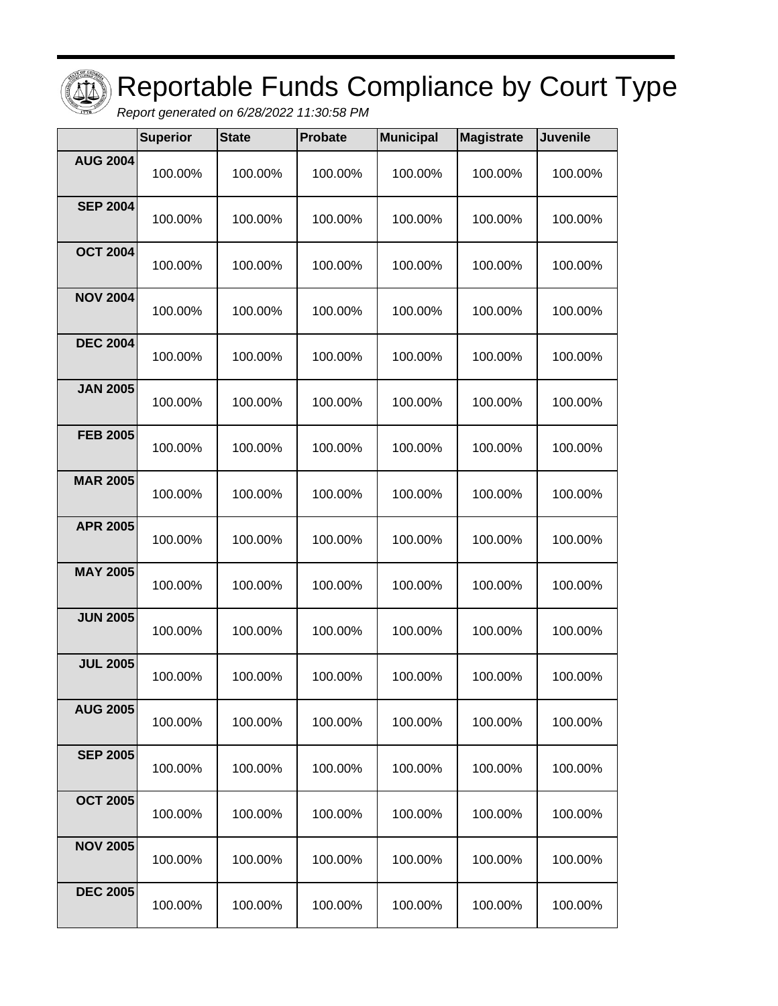| Ho.<br>ĸ |
|----------|
|          |
|          |

## Reportable Funds Compliance by Court Type

Report generated on 6/28/2022 11:30:58 PM

|                 | <b>Superior</b> | <b>State</b> | <b>Probate</b> | <b>Municipal</b> | <b>Magistrate</b> | <b>Juvenile</b> |
|-----------------|-----------------|--------------|----------------|------------------|-------------------|-----------------|
| <b>AUG 2004</b> | 100.00%         | 100.00%      | 100.00%        | 100.00%          | 100.00%           | 100.00%         |
| <b>SEP 2004</b> | 100.00%         | 100.00%      | 100.00%        | 100.00%          | 100.00%           | 100.00%         |
| <b>OCT 2004</b> | 100.00%         | 100.00%      | 100.00%        | 100.00%          | 100.00%           | 100.00%         |
| <b>NOV 2004</b> | 100.00%         | 100.00%      | 100.00%        | 100.00%          | 100.00%           | 100.00%         |
| <b>DEC 2004</b> | 100.00%         | 100.00%      | 100.00%        | 100.00%          | 100.00%           | 100.00%         |
| <b>JAN 2005</b> | 100.00%         | 100.00%      | 100.00%        | 100.00%          | 100.00%           | 100.00%         |
| <b>FEB 2005</b> | 100.00%         | 100.00%      | 100.00%        | 100.00%          | 100.00%           | 100.00%         |
| <b>MAR 2005</b> | 100.00%         | 100.00%      | 100.00%        | 100.00%          | 100.00%           | 100.00%         |
| <b>APR 2005</b> | 100.00%         | 100.00%      | 100.00%        | 100.00%          | 100.00%           | 100.00%         |
| <b>MAY 2005</b> | 100.00%         | 100.00%      | 100.00%        | 100.00%          | 100.00%           | 100.00%         |
| <b>JUN 2005</b> | 100.00%         | 100.00%      | 100.00%        | 100.00%          | 100.00%           | 100.00%         |
| <b>JUL 2005</b> | 100.00%         | 100.00%      | 100.00%        | 100.00%          | 100.00%           | 100.00%         |
| <b>AUG 2005</b> | 100.00%         | 100.00%      | 100.00%        | 100.00%          | 100.00%           | 100.00%         |
| <b>SEP 2005</b> | 100.00%         | 100.00%      | 100.00%        | 100.00%          | 100.00%           | 100.00%         |
| <b>OCT 2005</b> | 100.00%         | 100.00%      | 100.00%        | 100.00%          | 100.00%           | 100.00%         |
| <b>NOV 2005</b> | 100.00%         | 100.00%      | 100.00%        | 100.00%          | 100.00%           | 100.00%         |
| <b>DEC 2005</b> | 100.00%         | 100.00%      | 100.00%        | 100.00%          | 100.00%           | 100.00%         |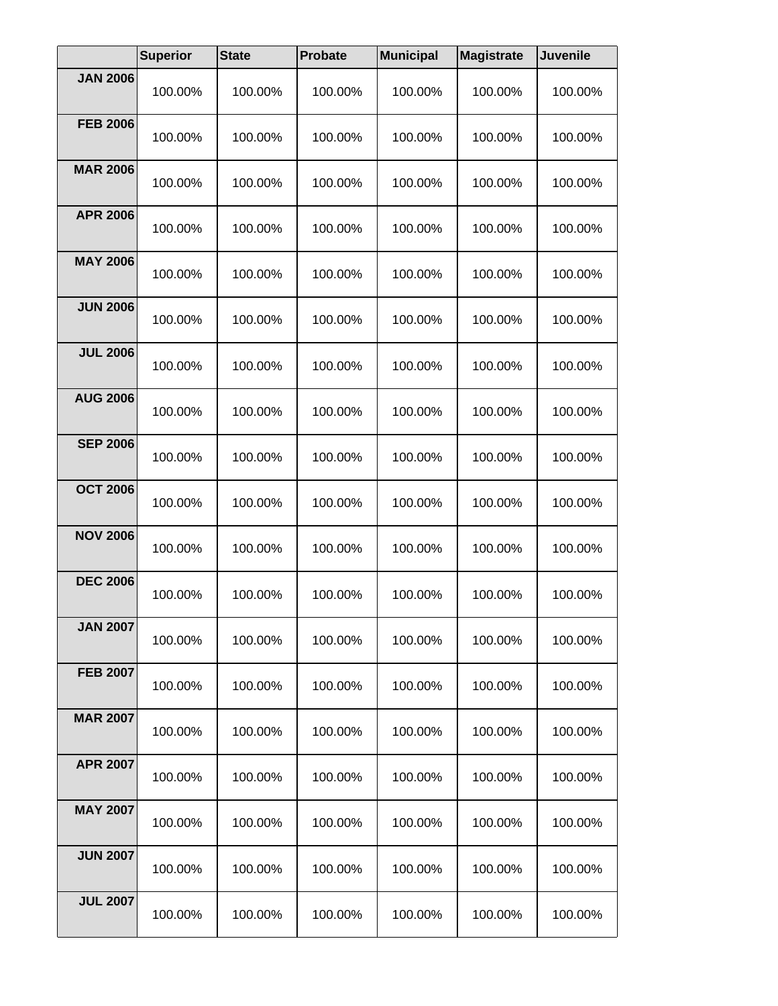|                 | <b>Superior</b> | <b>State</b> | <b>Probate</b> | <b>Municipal</b> | <b>Magistrate</b> | <b>Juvenile</b> |
|-----------------|-----------------|--------------|----------------|------------------|-------------------|-----------------|
| <b>JAN 2006</b> | 100.00%         | 100.00%      | 100.00%        | 100.00%          | 100.00%           | 100.00%         |
| <b>FEB 2006</b> | 100.00%         | 100.00%      | 100.00%        | 100.00%          | 100.00%           | 100.00%         |
| <b>MAR 2006</b> | 100.00%         | 100.00%      | 100.00%        | 100.00%          | 100.00%           | 100.00%         |
| <b>APR 2006</b> | 100.00%         | 100.00%      | 100.00%        | 100.00%          | 100.00%           | 100.00%         |
| <b>MAY 2006</b> | 100.00%         | 100.00%      | 100.00%        | 100.00%          | 100.00%           | 100.00%         |
| <b>JUN 2006</b> | 100.00%         | 100.00%      | 100.00%        | 100.00%          | 100.00%           | 100.00%         |
| <b>JUL 2006</b> | 100.00%         | 100.00%      | 100.00%        | 100.00%          | 100.00%           | 100.00%         |
| <b>AUG 2006</b> | 100.00%         | 100.00%      | 100.00%        | 100.00%          | 100.00%           | 100.00%         |
| <b>SEP 2006</b> | 100.00%         | 100.00%      | 100.00%        | 100.00%          | 100.00%           | 100.00%         |
| <b>OCT 2006</b> | 100.00%         | 100.00%      | 100.00%        | 100.00%          | 100.00%           | 100.00%         |
| <b>NOV 2006</b> | 100.00%         | 100.00%      | 100.00%        | 100.00%          | 100.00%           | 100.00%         |
| <b>DEC 2006</b> | 100.00%         | 100.00%      | 100.00%        | 100.00%          | 100.00%           | 100.00%         |
| <b>JAN 2007</b> | 100.00%         | 100.00%      | 100.00%        | 100.00%          | 100.00%           | 100.00%         |
| <b>FEB 2007</b> | 100.00%         | 100.00%      | 100.00%        | 100.00%          | 100.00%           | 100.00%         |
| <b>MAR 2007</b> | 100.00%         | 100.00%      | 100.00%        | 100.00%          | 100.00%           | 100.00%         |
| <b>APR 2007</b> | 100.00%         | 100.00%      | 100.00%        | 100.00%          | 100.00%           | 100.00%         |
| <b>MAY 2007</b> | 100.00%         | 100.00%      | 100.00%        | 100.00%          | 100.00%           | 100.00%         |
| <b>JUN 2007</b> | 100.00%         | 100.00%      | 100.00%        | 100.00%          | 100.00%           | 100.00%         |
| <b>JUL 2007</b> | 100.00%         | 100.00%      | 100.00%        | 100.00%          | 100.00%           | 100.00%         |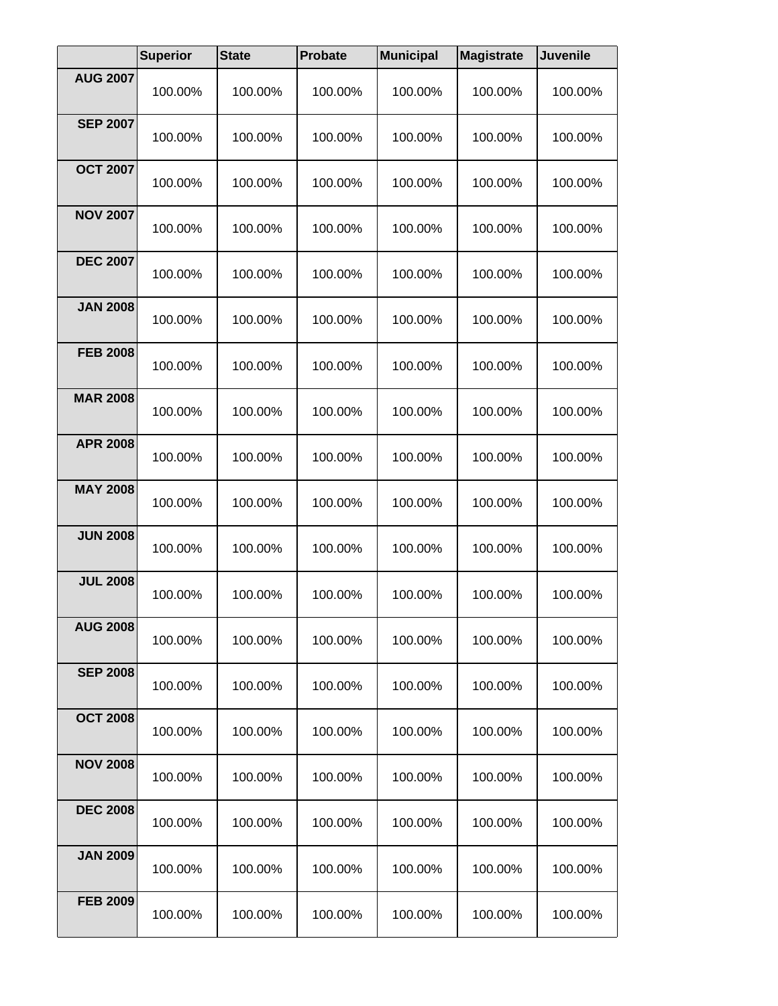|                 | <b>Superior</b> | <b>State</b> | <b>Probate</b> | <b>Municipal</b> | <b>Magistrate</b> | <b>Juvenile</b> |
|-----------------|-----------------|--------------|----------------|------------------|-------------------|-----------------|
| <b>AUG 2007</b> | 100.00%         | 100.00%      | 100.00%        | 100.00%          | 100.00%           | 100.00%         |
| <b>SEP 2007</b> | 100.00%         | 100.00%      | 100.00%        | 100.00%          | 100.00%           | 100.00%         |
| <b>OCT 2007</b> | 100.00%         | 100.00%      | 100.00%        | 100.00%          | 100.00%           | 100.00%         |
| <b>NOV 2007</b> | 100.00%         | 100.00%      | 100.00%        | 100.00%          | 100.00%           | 100.00%         |
| <b>DEC 2007</b> | 100.00%         | 100.00%      | 100.00%        | 100.00%          | 100.00%           | 100.00%         |
| <b>JAN 2008</b> | 100.00%         | 100.00%      | 100.00%        | 100.00%          | 100.00%           | 100.00%         |
| <b>FEB 2008</b> | 100.00%         | 100.00%      | 100.00%        | 100.00%          | 100.00%           | 100.00%         |
| <b>MAR 2008</b> | 100.00%         | 100.00%      | 100.00%        | 100.00%          | 100.00%           | 100.00%         |
| <b>APR 2008</b> | 100.00%         | 100.00%      | 100.00%        | 100.00%          | 100.00%           | 100.00%         |
| <b>MAY 2008</b> | 100.00%         | 100.00%      | 100.00%        | 100.00%          | 100.00%           | 100.00%         |
| <b>JUN 2008</b> | 100.00%         | 100.00%      | 100.00%        | 100.00%          | 100.00%           | 100.00%         |
| <b>JUL 2008</b> | 100.00%         | 100.00%      | 100.00%        | 100.00%          | 100.00%           | 100.00%         |
| <b>AUG 2008</b> | 100.00%         | 100.00%      | 100.00%        | 100.00%          | 100.00%           | 100.00%         |
| <b>SEP 2008</b> | 100.00%         | 100.00%      | 100.00%        | 100.00%          | 100.00%           | 100.00%         |
| <b>OCT 2008</b> | 100.00%         | 100.00%      | 100.00%        | 100.00%          | 100.00%           | 100.00%         |
| <b>NOV 2008</b> | 100.00%         | 100.00%      | 100.00%        | 100.00%          | 100.00%           | 100.00%         |
| <b>DEC 2008</b> | 100.00%         | 100.00%      | 100.00%        | 100.00%          | 100.00%           | 100.00%         |
| <b>JAN 2009</b> | 100.00%         | 100.00%      | 100.00%        | 100.00%          | 100.00%           | 100.00%         |
| <b>FEB 2009</b> | 100.00%         | 100.00%      | 100.00%        | 100.00%          | 100.00%           | 100.00%         |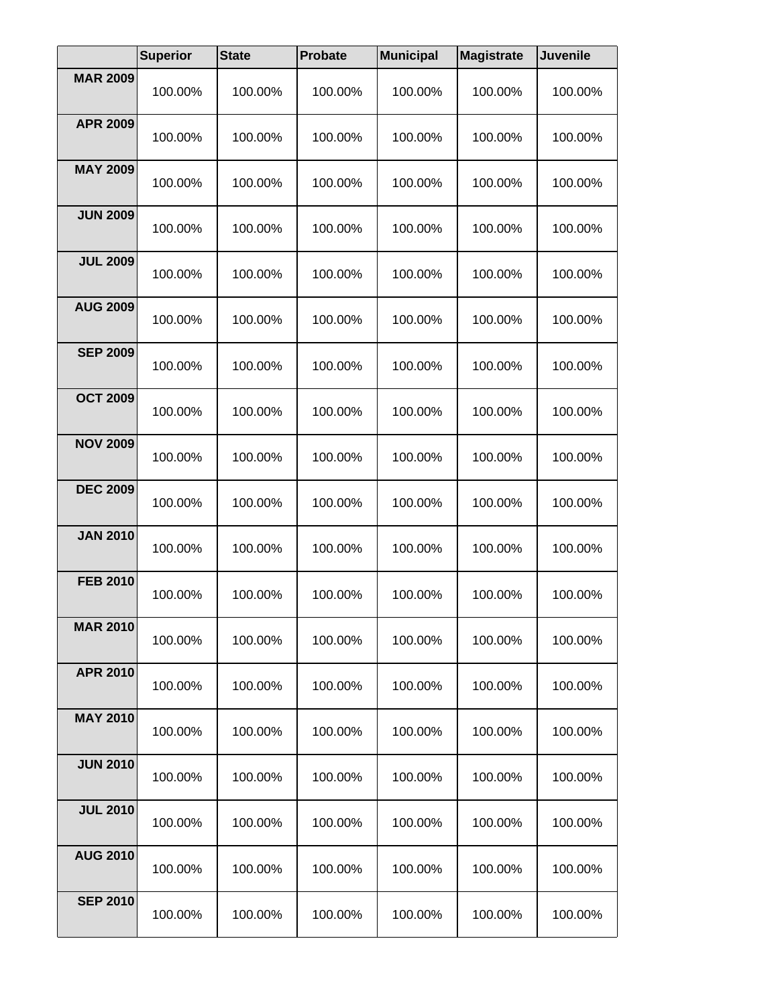|                 | <b>Superior</b> | <b>State</b> | <b>Probate</b> | Municipal | <b>Magistrate</b> | <b>Juvenile</b> |
|-----------------|-----------------|--------------|----------------|-----------|-------------------|-----------------|
| <b>MAR 2009</b> | 100.00%         | 100.00%      | 100.00%        | 100.00%   | 100.00%           | 100.00%         |
| <b>APR 2009</b> | 100.00%         | 100.00%      | 100.00%        | 100.00%   | 100.00%           | 100.00%         |
| <b>MAY 2009</b> | 100.00%         | 100.00%      | 100.00%        | 100.00%   | 100.00%           | 100.00%         |
| <b>JUN 2009</b> | 100.00%         | 100.00%      | 100.00%        | 100.00%   | 100.00%           | 100.00%         |
| <b>JUL 2009</b> | 100.00%         | 100.00%      | 100.00%        | 100.00%   | 100.00%           | 100.00%         |
| <b>AUG 2009</b> | 100.00%         | 100.00%      | 100.00%        | 100.00%   | 100.00%           | 100.00%         |
| <b>SEP 2009</b> | 100.00%         | 100.00%      | 100.00%        | 100.00%   | 100.00%           | 100.00%         |
| <b>OCT 2009</b> | 100.00%         | 100.00%      | 100.00%        | 100.00%   | 100.00%           | 100.00%         |
| <b>NOV 2009</b> | 100.00%         | 100.00%      | 100.00%        | 100.00%   | 100.00%           | 100.00%         |
| <b>DEC 2009</b> | 100.00%         | 100.00%      | 100.00%        | 100.00%   | 100.00%           | 100.00%         |
| <b>JAN 2010</b> | 100.00%         | 100.00%      | 100.00%        | 100.00%   | 100.00%           | 100.00%         |
| <b>FEB 2010</b> | 100.00%         | 100.00%      | 100.00%        | 100.00%   | 100.00%           | 100.00%         |
| <b>MAR 2010</b> | 100.00%         | 100.00%      | 100.00%        | 100.00%   | 100.00%           | 100.00%         |
| <b>APR 2010</b> | 100.00%         | 100.00%      | 100.00%        | 100.00%   | 100.00%           | 100.00%         |
| <b>MAY 2010</b> | 100.00%         | 100.00%      | 100.00%        | 100.00%   | 100.00%           | 100.00%         |
| <b>JUN 2010</b> | 100.00%         | 100.00%      | 100.00%        | 100.00%   | 100.00%           | 100.00%         |
| <b>JUL 2010</b> | 100.00%         | 100.00%      | 100.00%        | 100.00%   | 100.00%           | 100.00%         |
| <b>AUG 2010</b> | 100.00%         | 100.00%      | 100.00%        | 100.00%   | 100.00%           | 100.00%         |
| <b>SEP 2010</b> | 100.00%         | 100.00%      | 100.00%        | 100.00%   | 100.00%           | 100.00%         |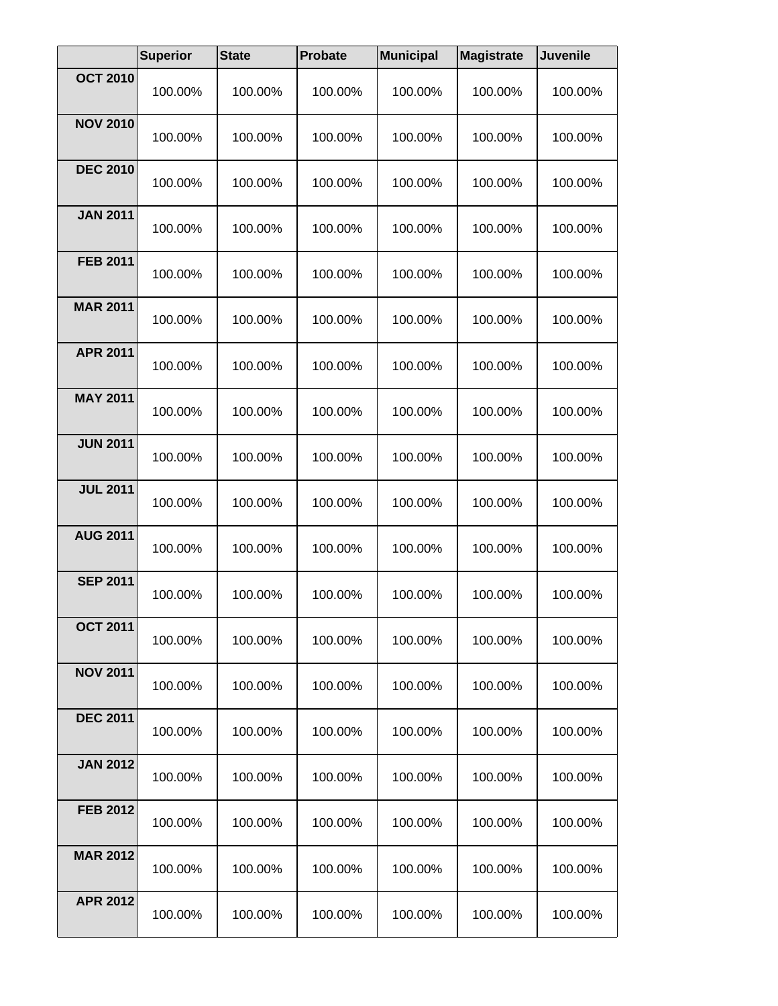|                 | <b>Superior</b> | <b>State</b> | <b>Probate</b> | <b>Municipal</b> | <b>Magistrate</b> | <b>Juvenile</b> |
|-----------------|-----------------|--------------|----------------|------------------|-------------------|-----------------|
| <b>OCT 2010</b> | 100.00%         | 100.00%      | 100.00%        | 100.00%          | 100.00%           | 100.00%         |
| <b>NOV 2010</b> | 100.00%         | 100.00%      | 100.00%        | 100.00%          | 100.00%           | 100.00%         |
| <b>DEC 2010</b> | 100.00%         | 100.00%      | 100.00%        | 100.00%          | 100.00%           | 100.00%         |
| <b>JAN 2011</b> | 100.00%         | 100.00%      | 100.00%        | 100.00%          | 100.00%           | 100.00%         |
| <b>FEB 2011</b> | 100.00%         | 100.00%      | 100.00%        | 100.00%          | 100.00%           | 100.00%         |
| <b>MAR 2011</b> | 100.00%         | 100.00%      | 100.00%        | 100.00%          | 100.00%           | 100.00%         |
| <b>APR 2011</b> | 100.00%         | 100.00%      | 100.00%        | 100.00%          | 100.00%           | 100.00%         |
| <b>MAY 2011</b> | 100.00%         | 100.00%      | 100.00%        | 100.00%          | 100.00%           | 100.00%         |
| <b>JUN 2011</b> | 100.00%         | 100.00%      | 100.00%        | 100.00%          | 100.00%           | 100.00%         |
| <b>JUL 2011</b> | 100.00%         | 100.00%      | 100.00%        | 100.00%          | 100.00%           | 100.00%         |
| <b>AUG 2011</b> | 100.00%         | 100.00%      | 100.00%        | 100.00%          | 100.00%           | 100.00%         |
| <b>SEP 2011</b> | 100.00%         | 100.00%      | 100.00%        | 100.00%          | 100.00%           | 100.00%         |
| <b>OCT 2011</b> | 100.00%         | 100.00%      | 100.00%        | 100.00%          | 100.00%           | 100.00%         |
| <b>NOV 2011</b> | 100.00%         | 100.00%      | 100.00%        | 100.00%          | 100.00%           | 100.00%         |
| <b>DEC 2011</b> | 100.00%         | 100.00%      | 100.00%        | 100.00%          | 100.00%           | 100.00%         |
| <b>JAN 2012</b> | 100.00%         | 100.00%      | 100.00%        | 100.00%          | 100.00%           | 100.00%         |
| <b>FEB 2012</b> | 100.00%         | 100.00%      | 100.00%        | 100.00%          | 100.00%           | 100.00%         |
| <b>MAR 2012</b> | 100.00%         | 100.00%      | 100.00%        | 100.00%          | 100.00%           | 100.00%         |
| <b>APR 2012</b> | 100.00%         | 100.00%      | 100.00%        | 100.00%          | 100.00%           | 100.00%         |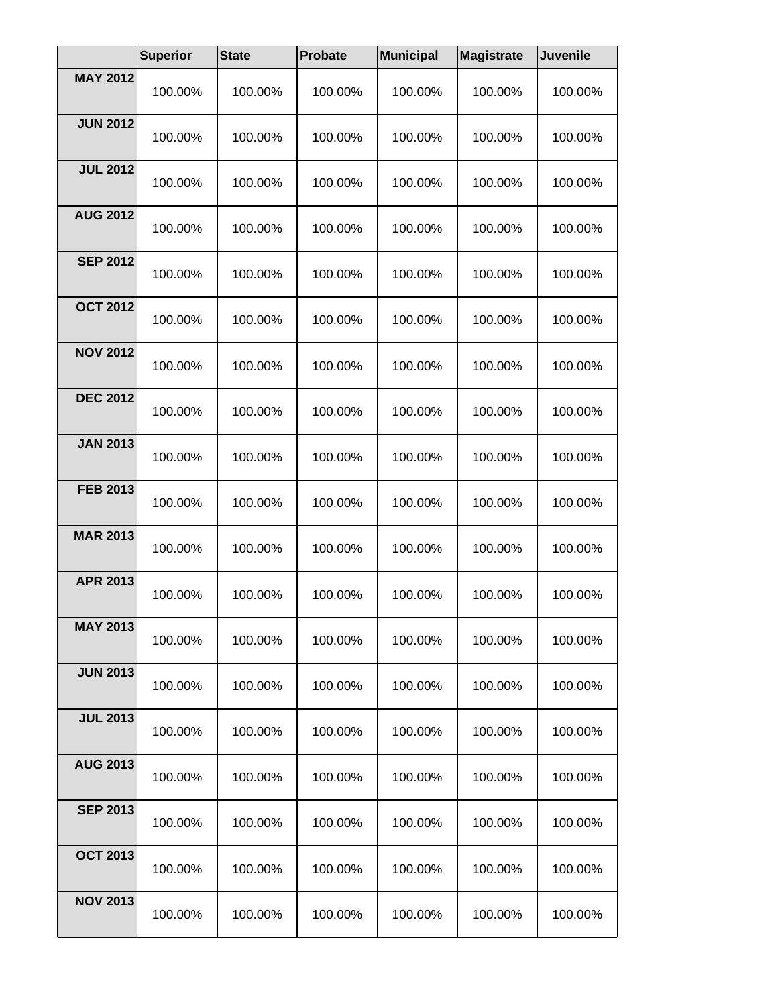|                 | <b>Superior</b> | <b>State</b> | <b>Probate</b> | <b>Municipal</b> | <b>Magistrate</b> | <b>Juvenile</b> |
|-----------------|-----------------|--------------|----------------|------------------|-------------------|-----------------|
| <b>MAY 2012</b> | 100.00%         | 100.00%      | 100.00%        | 100.00%          | 100.00%           | 100.00%         |
| <b>JUN 2012</b> | 100.00%         | 100.00%      | 100.00%        | 100.00%          | 100.00%           | 100.00%         |
| <b>JUL 2012</b> | 100.00%         | 100.00%      | 100.00%        | 100.00%          | 100.00%           | 100.00%         |
| <b>AUG 2012</b> | 100.00%         | 100.00%      | 100.00%        | 100.00%          | 100.00%           | 100.00%         |
| <b>SEP 2012</b> | 100.00%         | 100.00%      | 100.00%        | 100.00%          | 100.00%           | 100.00%         |
| <b>OCT 2012</b> | 100.00%         | 100.00%      | 100.00%        | 100.00%          | 100.00%           | 100.00%         |
| <b>NOV 2012</b> | 100.00%         | 100.00%      | 100.00%        | 100.00%          | 100.00%           | 100.00%         |
| <b>DEC 2012</b> | 100.00%         | 100.00%      | 100.00%        | 100.00%          | 100.00%           | 100.00%         |
| <b>JAN 2013</b> | 100.00%         | 100.00%      | 100.00%        | 100.00%          | 100.00%           | 100.00%         |
| <b>FEB 2013</b> | 100.00%         | 100.00%      | 100.00%        | 100.00%          | 100.00%           | 100.00%         |
| <b>MAR 2013</b> | 100.00%         | 100.00%      | 100.00%        | 100.00%          | 100.00%           | 100.00%         |
| <b>APR 2013</b> | 100.00%         | 100.00%      | 100.00%        | 100.00%          | 100.00%           | 100.00%         |
| <b>MAY 2013</b> | 100.00%         | 100.00%      | 100.00%        | 100.00%          | 100.00%           | 100.00%         |
| <b>JUN 2013</b> | 100.00%         | 100.00%      | 100.00%        | 100.00%          | 100.00%           | 100.00%         |
| <b>JUL 2013</b> | 100.00%         | 100.00%      | 100.00%        | 100.00%          | 100.00%           | 100.00%         |
| <b>AUG 2013</b> | 100.00%         | 100.00%      | 100.00%        | 100.00%          | 100.00%           | 100.00%         |
| <b>SEP 2013</b> | 100.00%         | 100.00%      | 100.00%        | 100.00%          | 100.00%           | 100.00%         |
| <b>OCT 2013</b> | 100.00%         | 100.00%      | 100.00%        | 100.00%          | 100.00%           | 100.00%         |
| <b>NOV 2013</b> | 100.00%         | 100.00%      | 100.00%        | 100.00%          | 100.00%           | 100.00%         |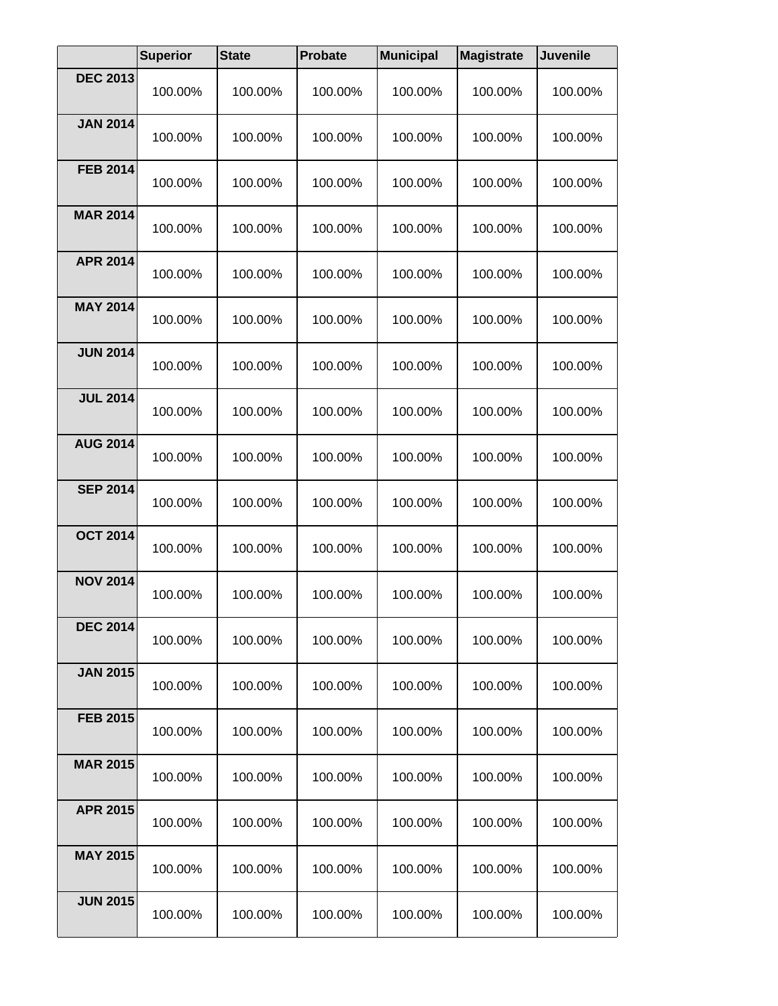|                 | <b>Superior</b> | <b>State</b> | <b>Probate</b> | <b>Municipal</b> | <b>Magistrate</b> | <b>Juvenile</b> |
|-----------------|-----------------|--------------|----------------|------------------|-------------------|-----------------|
| <b>DEC 2013</b> | 100.00%         | 100.00%      | 100.00%        | 100.00%          | 100.00%           | 100.00%         |
| <b>JAN 2014</b> | 100.00%         | 100.00%      | 100.00%        | 100.00%          | 100.00%           | 100.00%         |
| <b>FEB 2014</b> | 100.00%         | 100.00%      | 100.00%        | 100.00%          | 100.00%           | 100.00%         |
| <b>MAR 2014</b> | 100.00%         | 100.00%      | 100.00%        | 100.00%          | 100.00%           | 100.00%         |
| <b>APR 2014</b> | 100.00%         | 100.00%      | 100.00%        | 100.00%          | 100.00%           | 100.00%         |
| <b>MAY 2014</b> | 100.00%         | 100.00%      | 100.00%        | 100.00%          | 100.00%           | 100.00%         |
| <b>JUN 2014</b> | 100.00%         | 100.00%      | 100.00%        | 100.00%          | 100.00%           | 100.00%         |
| <b>JUL 2014</b> | 100.00%         | 100.00%      | 100.00%        | 100.00%          | 100.00%           | 100.00%         |
| <b>AUG 2014</b> | 100.00%         | 100.00%      | 100.00%        | 100.00%          | 100.00%           | 100.00%         |
| <b>SEP 2014</b> | 100.00%         | 100.00%      | 100.00%        | 100.00%          | 100.00%           | 100.00%         |
| <b>OCT 2014</b> | 100.00%         | 100.00%      | 100.00%        | 100.00%          | 100.00%           | 100.00%         |
| <b>NOV 2014</b> | 100.00%         | 100.00%      | 100.00%        | 100.00%          | 100.00%           | 100.00%         |
| <b>DEC 2014</b> | 100.00%         | 100.00%      | 100.00%        | 100.00%          | 100.00%           | 100.00%         |
| <b>JAN 2015</b> | 100.00%         | 100.00%      | 100.00%        | 100.00%          | 100.00%           | 100.00%         |
| <b>FEB 2015</b> | 100.00%         | 100.00%      | 100.00%        | 100.00%          | 100.00%           | 100.00%         |
| <b>MAR 2015</b> | 100.00%         | 100.00%      | 100.00%        | 100.00%          | 100.00%           | 100.00%         |
| <b>APR 2015</b> | 100.00%         | 100.00%      | 100.00%        | 100.00%          | 100.00%           | 100.00%         |
| <b>MAY 2015</b> | 100.00%         | 100.00%      | 100.00%        | 100.00%          | 100.00%           | 100.00%         |
| <b>JUN 2015</b> | 100.00%         | 100.00%      | 100.00%        | 100.00%          | 100.00%           | 100.00%         |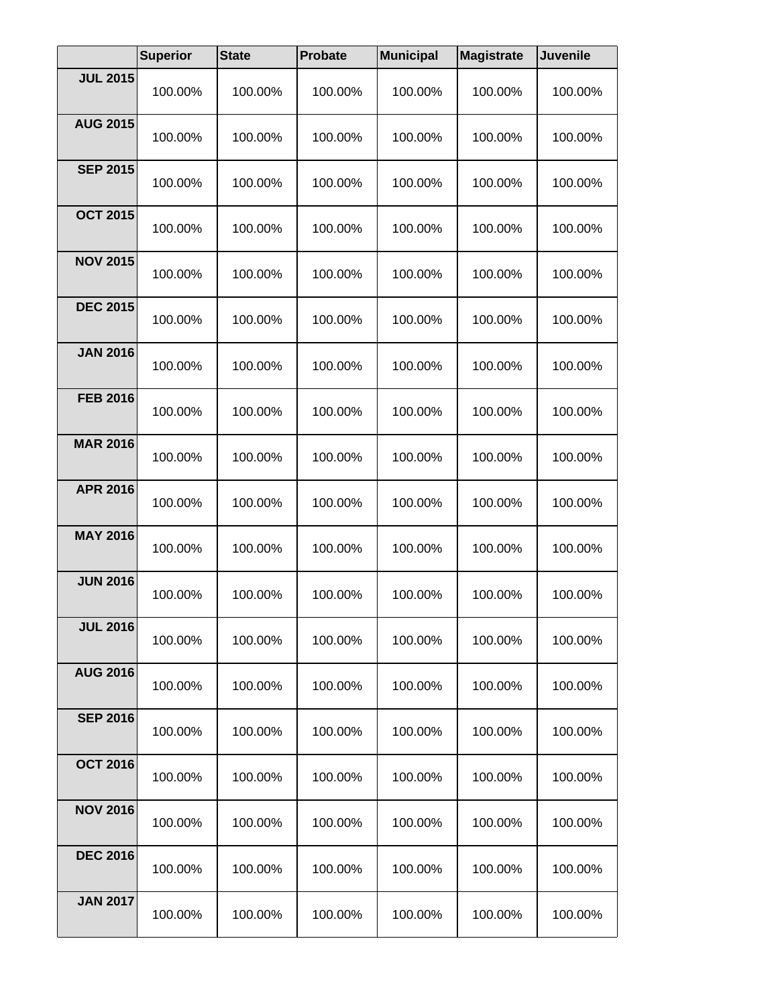|                 | <b>Superior</b> | <b>State</b> | <b>Probate</b> | <b>Municipal</b> | <b>Magistrate</b> | <b>Juvenile</b> |
|-----------------|-----------------|--------------|----------------|------------------|-------------------|-----------------|
| <b>JUL 2015</b> | 100.00%         | 100.00%      | 100.00%        | 100.00%          | 100.00%           | 100.00%         |
| <b>AUG 2015</b> | 100.00%         | 100.00%      | 100.00%        | 100.00%          | 100.00%           | 100.00%         |
| <b>SEP 2015</b> | 100.00%         | 100.00%      | 100.00%        | 100.00%          | 100.00%           | 100.00%         |
| <b>OCT 2015</b> | 100.00%         | 100.00%      | 100.00%        | 100.00%          | 100.00%           | 100.00%         |
| <b>NOV 2015</b> | 100.00%         | 100.00%      | 100.00%        | 100.00%          | 100.00%           | 100.00%         |
| <b>DEC 2015</b> | 100.00%         | 100.00%      | 100.00%        | 100.00%          | 100.00%           | 100.00%         |
| <b>JAN 2016</b> | 100.00%         | 100.00%      | 100.00%        | 100.00%          | 100.00%           | 100.00%         |
| <b>FEB 2016</b> | 100.00%         | 100.00%      | 100.00%        | 100.00%          | 100.00%           | 100.00%         |
| <b>MAR 2016</b> | 100.00%         | 100.00%      | 100.00%        | 100.00%          | 100.00%           | 100.00%         |
| <b>APR 2016</b> | 100.00%         | 100.00%      | 100.00%        | 100.00%          | 100.00%           | 100.00%         |
| <b>MAY 2016</b> | 100.00%         | 100.00%      | 100.00%        | 100.00%          | 100.00%           | 100.00%         |
| <b>JUN 2016</b> | 100.00%         | 100.00%      | 100.00%        | 100.00%          | 100.00%           | 100.00%         |
| <b>JUL 2016</b> | 100.00%         | 100.00%      | 100.00%        | 100.00%          | 100.00%           | 100.00%         |
| <b>AUG 2016</b> | 100.00%         | 100.00%      | 100.00%        | 100.00%          | 100.00%           | 100.00%         |
| <b>SEP 2016</b> | 100.00%         | 100.00%      | 100.00%        | 100.00%          | 100.00%           | 100.00%         |
| <b>OCT 2016</b> | 100.00%         | 100.00%      | 100.00%        | 100.00%          | 100.00%           | 100.00%         |
| <b>NOV 2016</b> | 100.00%         | 100.00%      | 100.00%        | 100.00%          | 100.00%           | 100.00%         |
| <b>DEC 2016</b> | 100.00%         | 100.00%      | 100.00%        | 100.00%          | 100.00%           | 100.00%         |
| <b>JAN 2017</b> | 100.00%         | 100.00%      | 100.00%        | 100.00%          | 100.00%           | 100.00%         |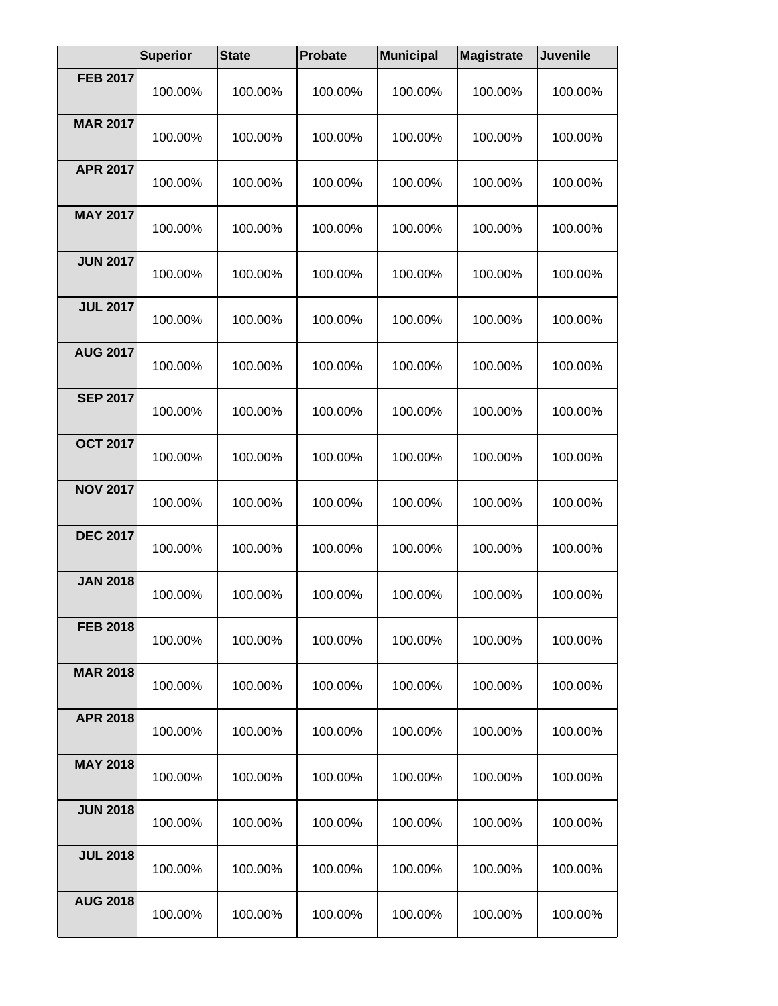|                 | <b>Superior</b> | <b>State</b> | <b>Probate</b> | <b>Municipal</b> | <b>Magistrate</b> | <b>Juvenile</b> |
|-----------------|-----------------|--------------|----------------|------------------|-------------------|-----------------|
| <b>FEB 2017</b> | 100.00%         | 100.00%      | 100.00%        | 100.00%          | 100.00%           | 100.00%         |
| <b>MAR 2017</b> | 100.00%         | 100.00%      | 100.00%        | 100.00%          | 100.00%           | 100.00%         |
| <b>APR 2017</b> | 100.00%         | 100.00%      | 100.00%        | 100.00%          | 100.00%           | 100.00%         |
| <b>MAY 2017</b> | 100.00%         | 100.00%      | 100.00%        | 100.00%          | 100.00%           | 100.00%         |
| <b>JUN 2017</b> | 100.00%         | 100.00%      | 100.00%        | 100.00%          | 100.00%           | 100.00%         |
| <b>JUL 2017</b> | 100.00%         | 100.00%      | 100.00%        | 100.00%          | 100.00%           | 100.00%         |
| <b>AUG 2017</b> | 100.00%         | 100.00%      | 100.00%        | 100.00%          | 100.00%           | 100.00%         |
| <b>SEP 2017</b> | 100.00%         | 100.00%      | 100.00%        | 100.00%          | 100.00%           | 100.00%         |
| <b>OCT 2017</b> | 100.00%         | 100.00%      | 100.00%        | 100.00%          | 100.00%           | 100.00%         |
| <b>NOV 2017</b> | 100.00%         | 100.00%      | 100.00%        | 100.00%          | 100.00%           | 100.00%         |
| <b>DEC 2017</b> | 100.00%         | 100.00%      | 100.00%        | 100.00%          | 100.00%           | 100.00%         |
| <b>JAN 2018</b> | 100.00%         | 100.00%      | 100.00%        | 100.00%          | 100.00%           | 100.00%         |
| <b>FEB 2018</b> | 100.00%         | 100.00%      | 100.00%        | 100.00%          | 100.00%           | 100.00%         |
| <b>MAR 2018</b> | 100.00%         | 100.00%      | 100.00%        | 100.00%          | 100.00%           | 100.00%         |
| <b>APR 2018</b> | 100.00%         | 100.00%      | 100.00%        | 100.00%          | 100.00%           | 100.00%         |
| <b>MAY 2018</b> | 100.00%         | 100.00%      | 100.00%        | 100.00%          | 100.00%           | 100.00%         |
| <b>JUN 2018</b> | 100.00%         | 100.00%      | 100.00%        | 100.00%          | 100.00%           | 100.00%         |
| <b>JUL 2018</b> | 100.00%         | 100.00%      | 100.00%        | 100.00%          | 100.00%           | 100.00%         |
| <b>AUG 2018</b> | 100.00%         | 100.00%      | 100.00%        | 100.00%          | 100.00%           | 100.00%         |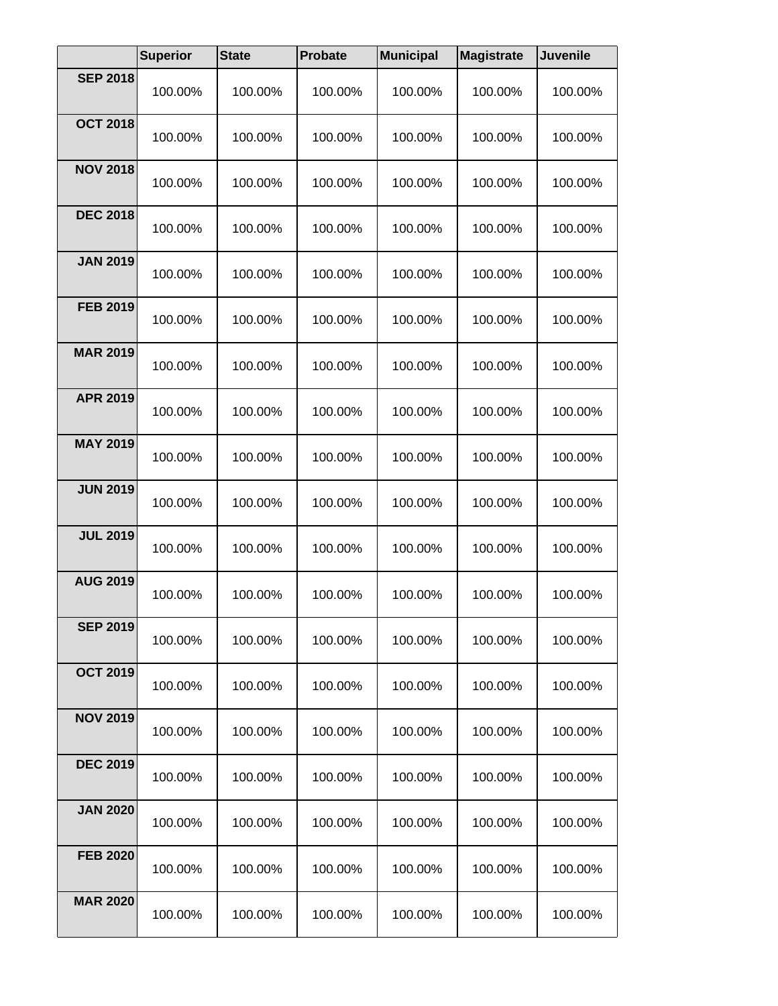|                 | <b>Superior</b> | <b>State</b> | <b>Probate</b> | <b>Municipal</b> | <b>Magistrate</b> | <b>Juvenile</b> |
|-----------------|-----------------|--------------|----------------|------------------|-------------------|-----------------|
| <b>SEP 2018</b> | 100.00%         | 100.00%      | 100.00%        | 100.00%          | 100.00%           | 100.00%         |
| <b>OCT 2018</b> | 100.00%         | 100.00%      | 100.00%        | 100.00%          | 100.00%           | 100.00%         |
| <b>NOV 2018</b> | 100.00%         | 100.00%      | 100.00%        | 100.00%          | 100.00%           | 100.00%         |
| <b>DEC 2018</b> | 100.00%         | 100.00%      | 100.00%        | 100.00%          | 100.00%           | 100.00%         |
| <b>JAN 2019</b> | 100.00%         | 100.00%      | 100.00%        | 100.00%          | 100.00%           | 100.00%         |
| <b>FEB 2019</b> | 100.00%         | 100.00%      | 100.00%        | 100.00%          | 100.00%           | 100.00%         |
| <b>MAR 2019</b> | 100.00%         | 100.00%      | 100.00%        | 100.00%          | 100.00%           | 100.00%         |
| <b>APR 2019</b> | 100.00%         | 100.00%      | 100.00%        | 100.00%          | 100.00%           | 100.00%         |
| <b>MAY 2019</b> | 100.00%         | 100.00%      | 100.00%        | 100.00%          | 100.00%           | 100.00%         |
| <b>JUN 2019</b> | 100.00%         | 100.00%      | 100.00%        | 100.00%          | 100.00%           | 100.00%         |
| <b>JUL 2019</b> | 100.00%         | 100.00%      | 100.00%        | 100.00%          | 100.00%           | 100.00%         |
| <b>AUG 2019</b> | 100.00%         | 100.00%      | 100.00%        | 100.00%          | 100.00%           | 100.00%         |
| <b>SEP 2019</b> | 100.00%         | 100.00%      | 100.00%        | 100.00%          | 100.00%           | 100.00%         |
| <b>OCT 2019</b> | 100.00%         | 100.00%      | 100.00%        | 100.00%          | 100.00%           | 100.00%         |
| <b>NOV 2019</b> | 100.00%         | 100.00%      | 100.00%        | 100.00%          | 100.00%           | 100.00%         |
| <b>DEC 2019</b> | 100.00%         | 100.00%      | 100.00%        | 100.00%          | 100.00%           | 100.00%         |
| <b>JAN 2020</b> | 100.00%         | 100.00%      | 100.00%        | 100.00%          | 100.00%           | 100.00%         |
| <b>FEB 2020</b> | 100.00%         | 100.00%      | 100.00%        | 100.00%          | 100.00%           | 100.00%         |
| <b>MAR 2020</b> | 100.00%         | 100.00%      | 100.00%        | 100.00%          | 100.00%           | 100.00%         |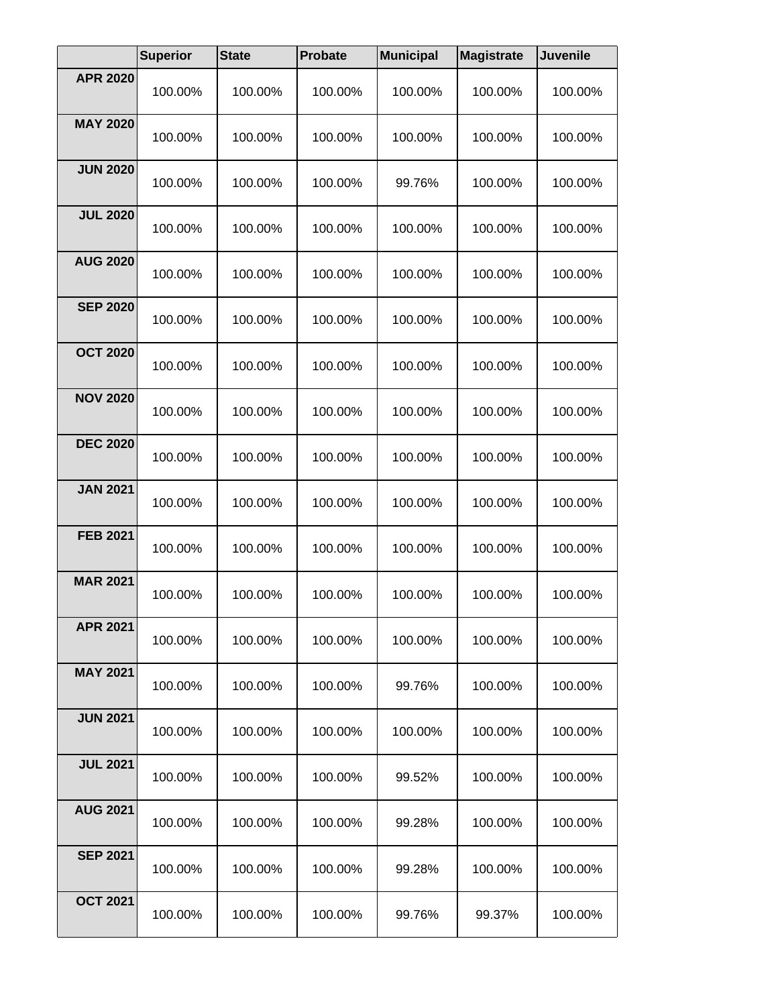|                 | <b>Superior</b> | <b>State</b> | <b>Probate</b> | <b>Municipal</b> | <b>Magistrate</b> | <b>Juvenile</b> |
|-----------------|-----------------|--------------|----------------|------------------|-------------------|-----------------|
| <b>APR 2020</b> | 100.00%         | 100.00%      | 100.00%        | 100.00%          | 100.00%           | 100.00%         |
| <b>MAY 2020</b> | 100.00%         | 100.00%      | 100.00%        | 100.00%          | 100.00%           | 100.00%         |
| <b>JUN 2020</b> | 100.00%         | 100.00%      | 100.00%        | 99.76%           | 100.00%           | 100.00%         |
| <b>JUL 2020</b> | 100.00%         | 100.00%      | 100.00%        | 100.00%          | 100.00%           | 100.00%         |
| <b>AUG 2020</b> | 100.00%         | 100.00%      | 100.00%        | 100.00%          | 100.00%           | 100.00%         |
| <b>SEP 2020</b> | 100.00%         | 100.00%      | 100.00%        | 100.00%          | 100.00%           | 100.00%         |
| <b>OCT 2020</b> | 100.00%         | 100.00%      | 100.00%        | 100.00%          | 100.00%           | 100.00%         |
| <b>NOV 2020</b> | 100.00%         | 100.00%      | 100.00%        | 100.00%          | 100.00%           | 100.00%         |
| <b>DEC 2020</b> | 100.00%         | 100.00%      | 100.00%        | 100.00%          | 100.00%           | 100.00%         |
| <b>JAN 2021</b> | 100.00%         | 100.00%      | 100.00%        | 100.00%          | 100.00%           | 100.00%         |
| <b>FEB 2021</b> | 100.00%         | 100.00%      | 100.00%        | 100.00%          | 100.00%           | 100.00%         |
| <b>MAR 2021</b> | 100.00%         | 100.00%      | 100.00%        | 100.00%          | 100.00%           | 100.00%         |
| <b>APR 2021</b> | 100.00%         | 100.00%      | 100.00%        | 100.00%          | 100.00%           | 100.00%         |
| <b>MAY 2021</b> | 100.00%         | 100.00%      | 100.00%        | 99.76%           | 100.00%           | 100.00%         |
| <b>JUN 2021</b> | 100.00%         | 100.00%      | 100.00%        | 100.00%          | 100.00%           | 100.00%         |
| <b>JUL 2021</b> | 100.00%         | 100.00%      | 100.00%        | 99.52%           | 100.00%           | 100.00%         |
| <b>AUG 2021</b> | 100.00%         | 100.00%      | 100.00%        | 99.28%           | 100.00%           | 100.00%         |
| <b>SEP 2021</b> | 100.00%         | 100.00%      | 100.00%        | 99.28%           | 100.00%           | 100.00%         |
| <b>OCT 2021</b> | 100.00%         | 100.00%      | 100.00%        | 99.76%           | 99.37%            | 100.00%         |